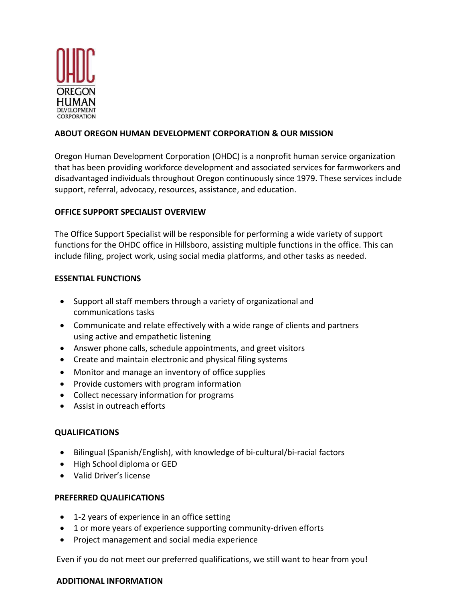

# **ABOUT OREGON HUMAN DEVELOPMENT CORPORATION & OUR MISSION**

Oregon Human Development Corporation (OHDC) is a nonprofit human service organization that has been providing workforce development and associated services for farmworkers and disadvantaged individuals throughout Oregon continuously since 1979. These services include support, referral, advocacy, resources, assistance, and education.

# **OFFICE SUPPORT SPECIALIST OVERVIEW**

The Office Support Specialist will be responsible for performing a wide variety of support functions for the OHDC office in Hillsboro, assisting multiple functions in the office. This can include filing, project work, using social media platforms, and other tasks as needed.

### **ESSENTIAL FUNCTIONS**

- Support all staff members through a variety of organizational and communications tasks
- Communicate and relate effectively with a wide range of clients and partners using active and empathetic listening
- Answer phone calls, schedule appointments, and greet visitors
- Create and maintain electronic and physical filing systems
- Monitor and manage an inventory of office supplies
- Provide customers with program information
- Collect necessary information for programs
- Assist in outreach efforts

# **QUALIFICATIONS**

- Bilingual (Spanish/English), with knowledge of bi-cultural/bi-racial factors
- High School diploma or GED
- Valid Driver's license

# **PREFERRED QUALIFICATIONS**

- 1-2 years of experience in an office setting
- 1 or more years of experience supporting community-driven efforts
- Project management and social media experience

Even if you do not meet our preferred qualifications, we still want to hear from you!

### **ADDITIONAL INFORMATION**